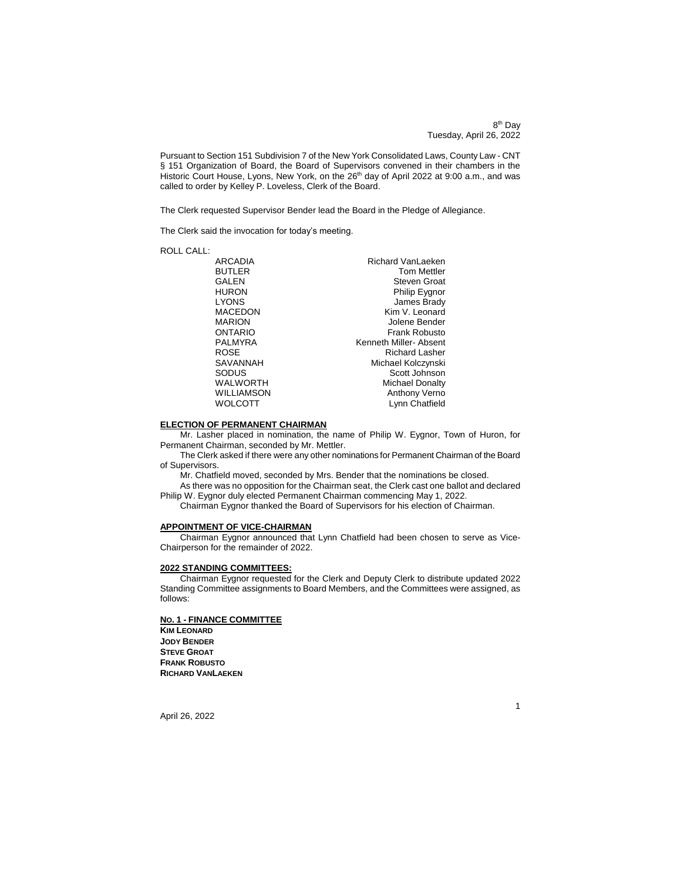8<sup>th</sup> Day Tuesday, April 26, 2022

Pursuant to Section 151 Subdivision 7 of the New York Consolidated Laws, County Law - CNT § 151 Organization of Board, the Board of Supervisors convened in their chambers in the Historic Court House, Lyons, New York, on the 26<sup>th</sup> day of April 2022 at 9:00 a.m., and was called to order by Kelley P. Loveless, Clerk of the Board.

The Clerk requested Supervisor Bender lead the Board in the Pledge of Allegiance.

The Clerk said the invocation for today's meeting.

| <b>ROLL CALL:</b> |                        |
|-------------------|------------------------|
| ARCADIA           | Richard VanLaeken      |
| <b>BUTLER</b>     | <b>Tom Mettler</b>     |
| <b>GALEN</b>      | <b>Steven Groat</b>    |
| <b>HURON</b>      | Philip Eygnor          |
| <b>LYONS</b>      | James Brady            |
| <b>MACEDON</b>    | Kim V. Leonard         |
| <b>MARION</b>     | Jolene Bender          |
| ONTARIO           | Frank Robusto          |
| <b>PALMYRA</b>    | Kenneth Miller- Absent |
| <b>ROSE</b>       | <b>Richard Lasher</b>  |
| SAVANNAH          | Michael Kolczynski     |
| SODUS             | Scott Johnson          |
| <b>WALWORTH</b>   | <b>Michael Donalty</b> |
| <b>WILLIAMSON</b> | Anthony Verno          |
| <b>WOLCOTT</b>    | Lynn Chatfield         |
|                   |                        |

### **ELECTION OF PERMANENT CHAIRMAN**

Mr. Lasher placed in nomination, the name of Philip W. Eygnor, Town of Huron, for Permanent Chairman, seconded by Mr. Mettler.

The Clerk asked if there were any other nominations for Permanent Chairman of the Board of Supervisors.

Mr. Chatfield moved, seconded by Mrs. Bender that the nominations be closed.

As there was no opposition for the Chairman seat, the Clerk cast one ballot and declared Philip W. Eygnor duly elected Permanent Chairman commencing May 1, 2022.

Chairman Eygnor thanked the Board of Supervisors for his election of Chairman.

# **APPOINTMENT OF VICE-CHAIRMAN**

Chairman Eygnor announced that Lynn Chatfield had been chosen to serve as Vice-Chairperson for the remainder of 2022.

# **2022 STANDING COMMITTEES:**

Chairman Eygnor requested for the Clerk and Deputy Clerk to distribute updated 2022 Standing Committee assignments to Board Members, and the Committees were assigned, as follows:

# **NO. 1 - FINANCE COMMITTEE**

**KIM LEONARD JODY BENDER STEVE GROAT FRANK ROBUSTO RICHARD VANLAEKEN**

April 26, 2022

1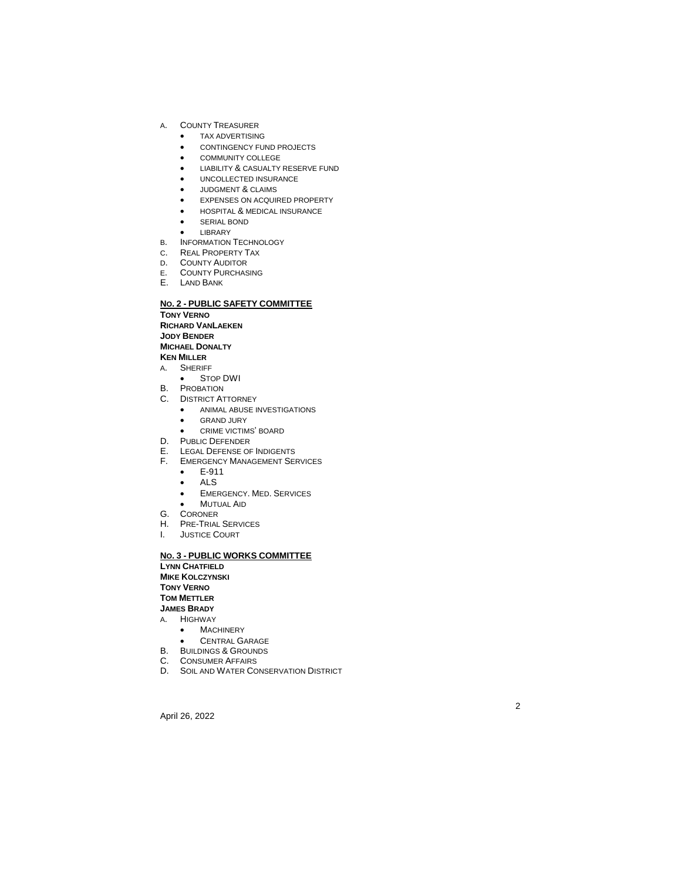- -
	-
	-
	- LIABILITY & CASUALTY RESERVE FUND
	- UNCOLLECTED INSURANCE
	- JUDGMENT & CLAIMS
	- EXPENSES ON ACQUIRED PROPERTY
	- HOSPITAL & MEDICAL INSURANCE
	- **•** SERIAL BOND
	- LIBRARY
- B. INFORMATION TECHNOLOGY
- C . REAL PROPERTY TAX
- D . COUNTY AUDITOR
- E . COUNTY PURCHASING
- E. LAND BANK

# **N O . 2 - PUBLIC SAFETY COMMITTEE**

**TONY VERNO**

**RICHARD VAN LAEKEN**

**JODY BENDER**

**MICHAEL DONALTY**

- **KEN MILLER**
- A . SHERIFF
- STOP DWI
- B. PROBATION C. DISTRICT ATTORNEY
	- ANIMAL ABUSE INVESTIGATIONS
	- GRAND JURY
	- CRIME VICTIMS' BOARD
- D. PUBLIC DEFENDER
- E. LEGAL DEFENSE OF INDIGENTS
- F. EMERGENCY MANAGEMENT SERVICES
	- $\bullet$  . E -911
	- ALS
	- EMERGENCY. MED. SERVICES
	- $\bullet$ MUTUAL AID
- G. CORONER
- H. PRE TRIAL SERVICES
- I. JUSTICE COURT

# A. COUNTY TREASURER **COUNTY TREASURER CONTINGENCY COMMUNITY COLLEGE DISURER FOR UNCOLLECTS INCOLLEGE ARE ENGINEED AND CONTINUES.**<br> **APRIL 26, 2022 A. COMMUNITY CONTINGENTS CONTINGENCY FUND CONTINUES CONTINUES CONTINUES CON N O . 3 - PUBLIC WORKS COMMITTEE LYNN CHATFIELD**

**MIKE KOLCZYNSKI**

**TONY VERNO**

**TOM METTLER**

- **JAMES BRADY**
- A . HIGHWAY
	- **•** MACHINERY
	- CENTRAL GARAGE
- B. BUILDINGS & GROUNDS
- C. CONSUMER AFFAIRS
- D. SOIL AND WATER CONSERVATION DISTRICT

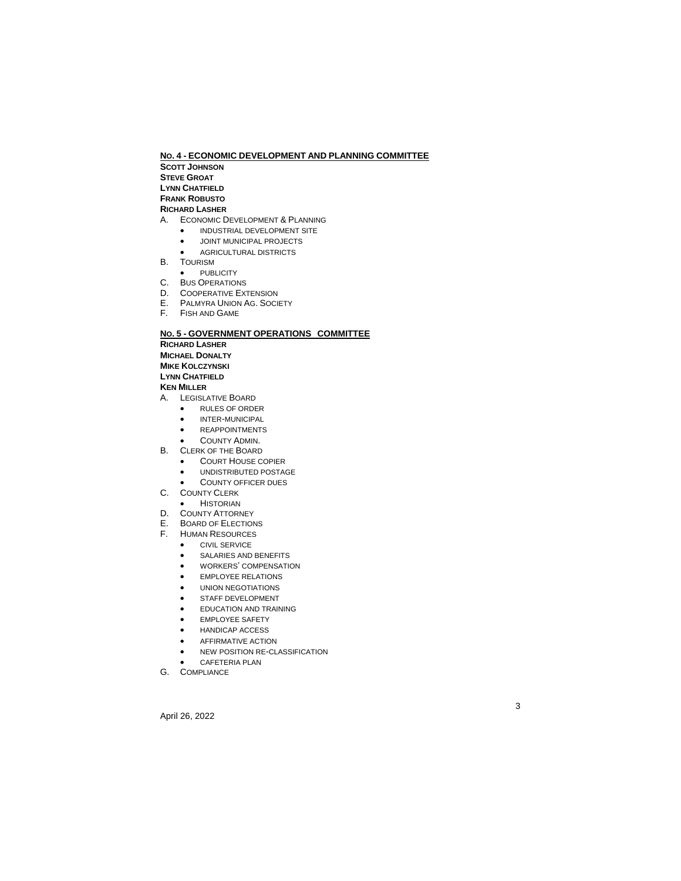# **NO. 4 - ECONOMIC DEVELOPMENT AND PLANNING COMMITTEE**

**SCOTT JOHNSON**

**STEVE GROAT**

**LYNN CHATFIELD**

**FRANK ROBUSTO**

# **RICHARD LASHER**

- A. ECONOMIC DEVELOPMENT & PLANNING
	- **INDUSTRIAL DEVELOPMENT SITE**
	- **•** JOINT MUNICIPAL PROJECTS
	- AGRICULTURAL DISTRICTS
- B. TOURISM
- PUBLICITY
- C. BUS OPERATIONS
- D. COOPERATIVE EXTENSION
- E. PALMYRA UNION AG. SOCIETY
- F. FISH AND GAME

# **NO. 5 - GOVERNMENT OPERATIONS COMMITTEE**

**RICHARD LASHER**

**MICHAEL DONALTY**

**MIKE KOLCZYNSKI**

**LYNN CHATFIELD**

# **KEN MILLER**

- A. LEGISLATIVE BOARD
	- RULES OF ORDER
	- $\bullet$  INTER-MUNICIPAL
	- REAPPOINTMENTS
	- COUNTY ADMIN.
- B. CLERK OF THE BOARD
	- **COURT HOUSE COPIER**
	- UNDISTRIBUTED POSTAGE
	- COUNTY OFFICER DUES
- C. COUNTY CLERK
	- **•** HISTORIAN
- D. COUNTY ATTORNEY
- E. BOARD OF ELECTIONS
- F. HUMAN RESOURCES
	- **CIVIL SERVICE**
	- SALARIES AND BENEFITS
	- WORKERS' COMPENSATION
	- EMPLOYEE RELATIONS
	- UNION NEGOTIATIONS
	- **•** STAFF DEVELOPMENT
	- **•** EDUCATION AND TRAINING
	- EMPLOYEE SAFETY
	- HANDICAP ACCESS
	- AFFIRMATIVE ACTION
	- NEW POSITION RE-CLASSIFICATION

3

- CAFETERIA PLAN
- G. COMPLIANCE

April 26, 2022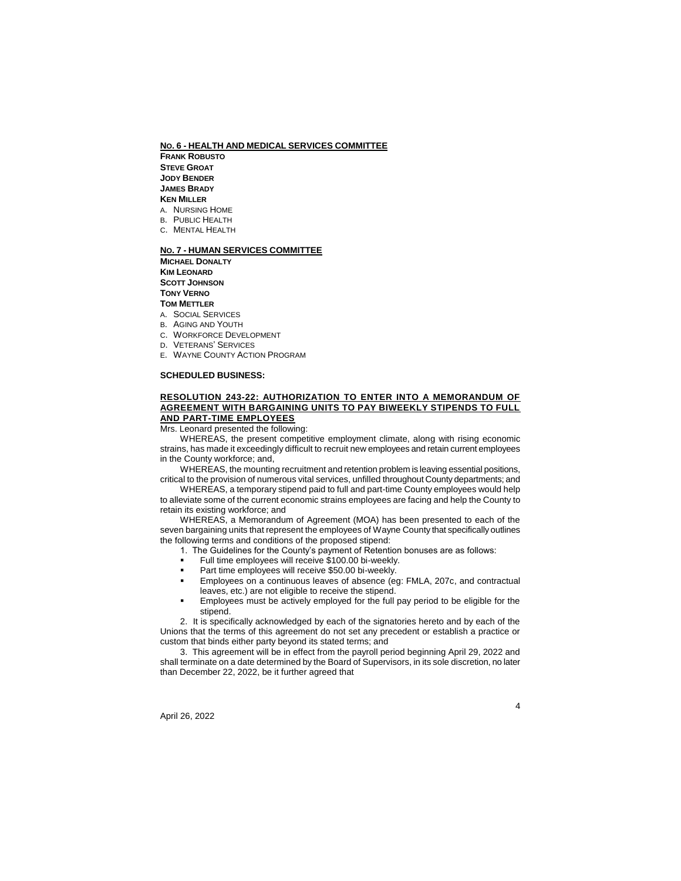**NO. 6 - HEALTH AND MEDICAL SERVICES COMMITTEE**

**FRANK ROBUSTO STEVE GROAT JODY BENDER JAMES BRADY KEN MILLER** A. NURSING HOME

B. PUBLIC HEALTH

C. MENTAL HEALTH

# **NO. 7 - HUMAN SERVICES COMMITTEE**

**MICHAEL DONALTY KIM LEONARD SCOTT JOHNSON TONY VERNO TOM METTLER**

- A. SOCIAL SERVICES
- B. AGING AND YOUTH
- C. WORKFORCE DEVELOPMENT
- D. VETERANS' SERVICES
- E. WAYNE COUNTY ACTION PROGRAM

### **SCHEDULED BUSINESS:**

# **RESOLUTION 243-22: AUTHORIZATION TO ENTER INTO A MEMORANDUM OF AGREEMENT WITH BARGAINING UNITS TO PAY BIWEEKLY STIPENDS TO FULL AND PART-TIME EMPLOYEES**

Mrs. Leonard presented the following:

WHEREAS, the present competitive employment climate, along with rising economic strains, has made it exceedingly difficult to recruit new employees and retain current employees in the County workforce; and,

WHEREAS, the mounting recruitment and retention problem is leaving essential positions, critical to the provision of numerous vital services, unfilled throughout County departments; and WHEREAS, a temporary stipend paid to full and part-time County employees would help

to alleviate some of the current economic strains employees are facing and help the County to retain its existing workforce; and

WHEREAS, a Memorandum of Agreement (MOA) has been presented to each of the seven bargaining units that represent the employees of Wayne County that specifically outlines the following terms and conditions of the proposed stipend:

- 1. The Guidelines for the County's payment of Retention bonuses are as follows:
- Full time employees will receive \$100.00 bi-weekly.
- Part time employees will receive \$50.00 bi-weekly.
- Employees on a continuous leaves of absence (eg: FMLA, 207c, and contractual leaves, etc.) are not eligible to receive the stipend.
- Employees must be actively employed for the full pay period to be eligible for the stipend.

2. It is specifically acknowledged by each of the signatories hereto and by each of the Unions that the terms of this agreement do not set any precedent or establish a practice or custom that binds either party beyond its stated terms; and

3. This agreement will be in effect from the payroll period beginning April 29, 2022 and shall terminate on a date determined by the Board of Supervisors, in its sole discretion, no later than December 22, 2022, be it further agreed that

April 26, 2022

4